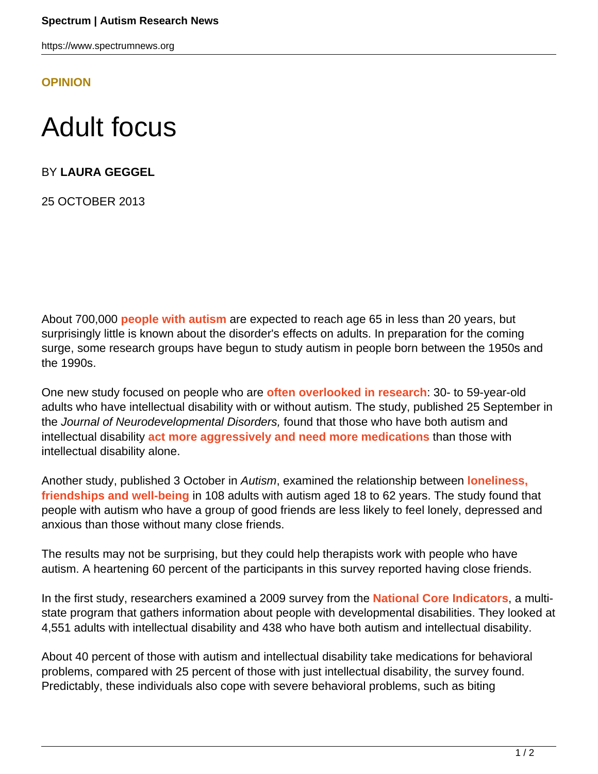https://www.spectrumnews.org

**[OPINION](HTTPS://WWW.SPECTRUMNEWS.ORG/OPINION/)**

## Adult focus

BY **LAURA GEGGEL**

25 OCTOBER 2013

About 700,000 **[people with autism](https://www.spectrumnews.org/blog/2011/adult-decisions)** are expected to reach age 65 in less than 20 years, but surprisingly little is known about the disorder's effects on adults. In preparation for the coming surge, some research groups have begun to study autism in people born between the 1950s and the 1990s.

One new study focused on people who are **[often overlooked in research](https://www.spectrumnews.org/blog/2012/adult-intervention)**: 30- to 59-year-old adults who have intellectual disability with or without autism. The study, published 25 September in the Journal of Neurodevelopmental Disorders, found that those who have both autism and intellectual disability **[act more aggressively and need more medications](http://ncbi.nlm.nih.gov/pubmed/24066979)** than those with intellectual disability alone.

Another study, published 3 October in Autism, examined the relationship between **[loneliness,](http://ncbi.nlm.nih.gov/pubmed/24092838) [friendships and well-being](http://ncbi.nlm.nih.gov/pubmed/24092838)** in 108 adults with autism aged 18 to 62 years. The study found that people with autism who have a group of good friends are less likely to feel lonely, depressed and anxious than those without many close friends.

The results may not be surprising, but they could help therapists work with people who have autism. A heartening 60 percent of the participants in this survey reported having close friends.

In the first study, researchers examined a 2009 survey from the **[National Core Indicators](http://nationalcoreindicators.org/)**, a multistate program that gathers information about people with developmental disabilities. They looked at 4,551 adults with intellectual disability and 438 who have both autism and intellectual disability.

About 40 percent of those with autism and intellectual disability take medications for behavioral problems, compared with 25 percent of those with just intellectual disability, the survey found. Predictably, these individuals also cope with severe behavioral problems, such as biting